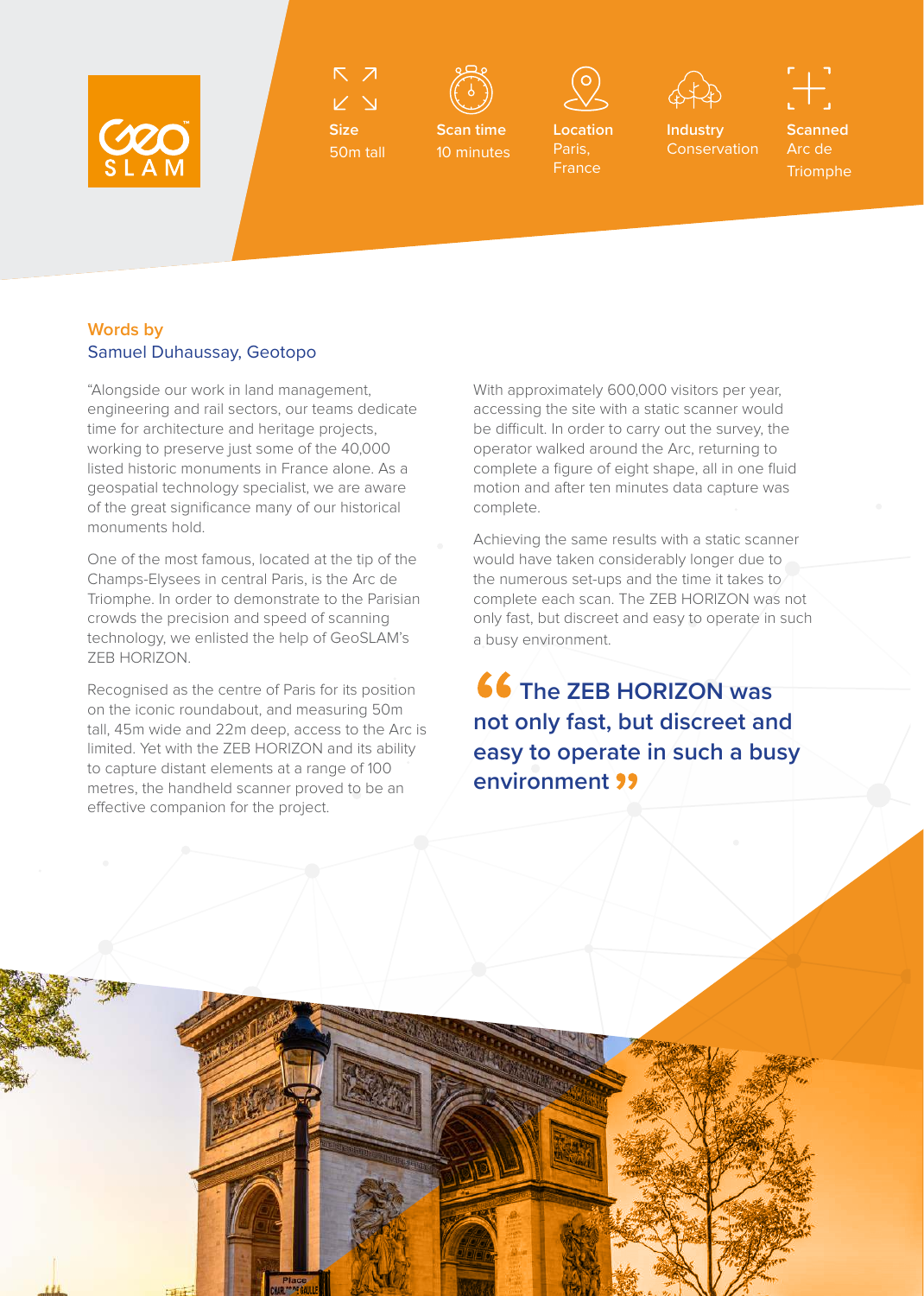

 $\triangledown$ 

**Size** 50m tall



**Scan time** 10 minutes



**Location**  Paris, France



**Industry Conservation** 

**Scanned** Arc de **Triomphe** 

## **Words by**  Samuel Duhaussay, Geotopo

"Alongside our work in land management, engineering and rail sectors, our teams dedicate time for architecture and heritage projects, working to preserve just some of the 40,000 listed historic monuments in France alone. As a geospatial technology specialist, we are aware of the great significance many of our historical monuments hold.

One of the most famous, located at the tip of the Champs-Elysees in central Paris, is the Arc de Triomphe. In order to demonstrate to the Parisian crowds the precision and speed of scanning technology, we enlisted the help of GeoSLAM's ZEB HORIZON.

Recognised as the centre of Paris for its position on the iconic roundabout, and measuring 50m tall, 45m wide and 22m deep, access to the Arc is limited. Yet with the ZEB HORIZON and its ability to capture distant elements at a range of 100 metres, the handheld scanner proved to be an effective companion for the project.

With approximately 600,000 visitors per year, accessing the site with a static scanner would be difficult. In order to carry out the survey, the operator walked around the Arc, returning to complete a figure of eight shape, all in one fluid motion and after ten minutes data capture was complete.

Achieving the same results with a static scanner would have taken considerably longer due to the numerous set-ups and the time it takes to complete each scan. The ZEB HORIZON was not only fast, but discreet and easy to operate in such a busy environment.

**66 The ZEB HORIZON was not only fast, but discreet and easy to operate in such a busy environment**